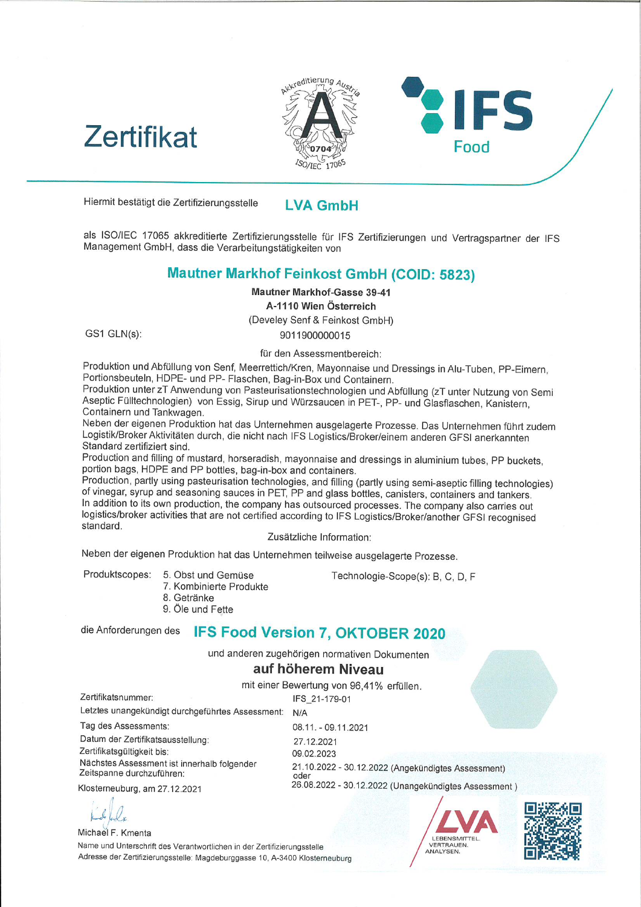



Hiermit bestätigt die ZertifizierungssteIIe

LVA GmbH

als ISO/IEC <sup>17065</sup> akkreditierte ZertifizierungssteIIe für IFS Zertifizierungen und Vertragspartner der IFS Management GmbH, dass die Verarbeitungstätigkeiten von

## Mautner Markhof Feinkost GmbH (COID: 5823)

#### Mautner Markhof-Gasse 39-41 A-I I10 Wien Österreich

(Develey Senf & Feinkost GmbH)

GS1 GLN(s):

9011900000015 für den Assessmentbereich:

Produktion und Abfüllung von Senf, Meerrettich/Kren, Mayonnaise und Dressings in Alu-Tuben, PP-Eimern, Portionsbeuteln, HDPE- und PP- Flaschen, Bag-in-Box und Containern.

Produktion unter zT Anwendung von Pasteurisationstechnologien und Abfüllung (zT unter Nutzung von Semi Aseptic Fülltechnologien) von Essig, Sirup und Würzsaucen in PET-, PP- und Glasflaschen, Kanistern, Containern und Tankwagen.

Neben der eigenen Produktion hat das Unternehmen ausgelagerte Prozesse. Das Unternehmen führt zudem Logistik/BrokerAktivitäten durch, die nicht nach IFS Logistics/Broker/einem anderen GFSI anerkannten Standard zertifiziert sind.

Production and filling of mustard, horseradish, mayonnaise and dressings in aluminium tubes, PP buckets, portion bags, HDPE and PP bottles, bag-in-box and containers.

Production, partly using pasteurisation technologies, and filling (partly using semi-aseptic filling technologies) of vinegar, syrup and seasoning sauces in PET, PP and glass bottles, canisters, containers and tankers. In addition to its own production, the company has outsourced processes. The company also carries out logistics/broker activities that are not certified according to IFS Logistics/Broker/another GFSI recognised standard.

Zusätzliche Information:

Neben der eigenen Produktion hat das Unternehmen teilweise ausgelagerte Prozesse.

Produktscopes: 5. Obst und Gemüse

Technologie-Scope(s): B, C, D, F

- 7. Kombinierte Produkte
	- 8. Getränke
	- 9. Öle und Fette

# dieAnforderungendes IFS Food Version 7, OKTOBER 2020

und anderen zugehörigen normativen Dokumenten

### auf höherem Niveau

mit einer Bewertung von 96,41% erfüllen.

N/A Zertifikatsnummer: Letztes unangekündigt durchgeführtes Assessment: IFS\_21-179-01

Tag des Assessments: Datum der Zertifikatsausstellung: Zertifikatsgültigkeit bis: Nächstes Assessment ist innerhalb folgender Zeitspanne durchzuführen:

N/A<br>08.11. - 09.11.202 27.12.202i 09.ü2.2023 21.10.2022 - 30.12.2022 (Angekündigtes Assessmer oder 26.08.2022 - 30.12.2022 (Unangekündigtes Assessment)

Klosterneuburg, am 27.12.2021

Michael F. Kmenta Name und Unterschrft des Verantwortlichen in der Zertifizierungsstelle Adresse der Zertifizierungsstelle: Magdeburggasse 10, A-3400 Klosterneuburg



IFS

Food